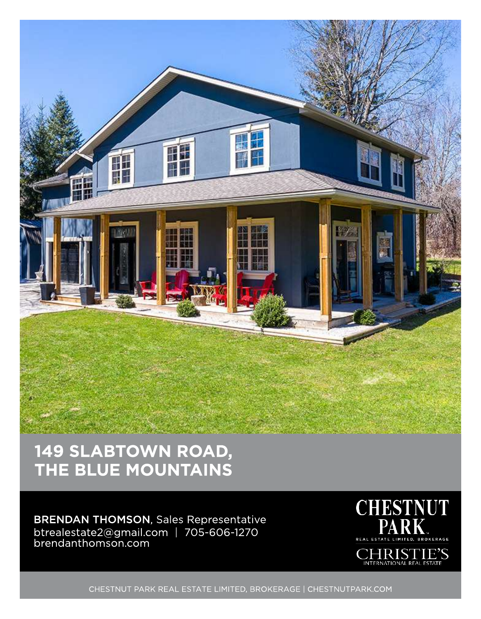

# 149 SLABTOWN ROAD, THE BLUE MOUNTAINS

#### BRENDAN THOMSON, Sales Representative btrealestate2@gmail.com | 705-606-127C brendanthomson.com



CHESTNUT PARK REAL ESTATE LIMITED, BROKERAGE | CHESTNUTPARK.COM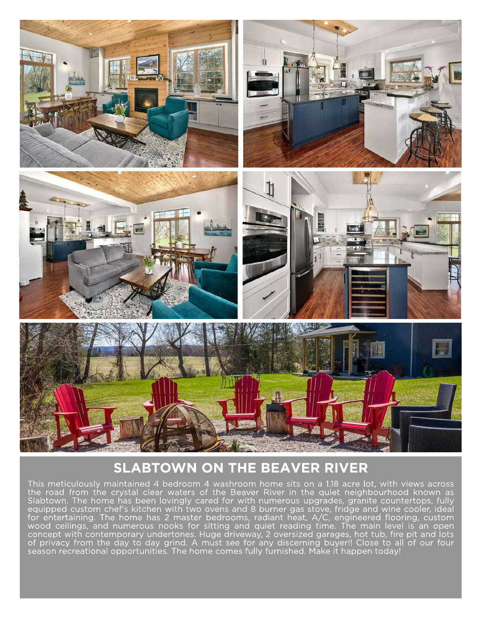

## **SLABTOWN ON THE BEAVER RIVER**

This meticulously maintained 4 bedroom 4 washroom home sits on a 1.18 acre lot, with views across the road from the crystal clear waters of the Beaver River in the quiet neighbourhood known as Slabtown. The home has been lovingly cared for with numerous upgrades, granite countertops, fully equipped custom chef's kitchen with two ovens and 8 burner gas stove, fridge and wine cooler, ideal for entertaining. The home has 2 master bedrooms, radiant heat, A/C, engineered flooring, custom wood ceilings, and numerous nooks for sitting and quiet reading time. The main level is an open concept with contemporary undertones. Huge driveway, 2 oversized garages, hot tub, fire pit and lots of privacy from the day to day grind. A must see for any discerning buyer!! Close to all of our four season recreational opportunities. The home comes fully furnished. Make it happen today!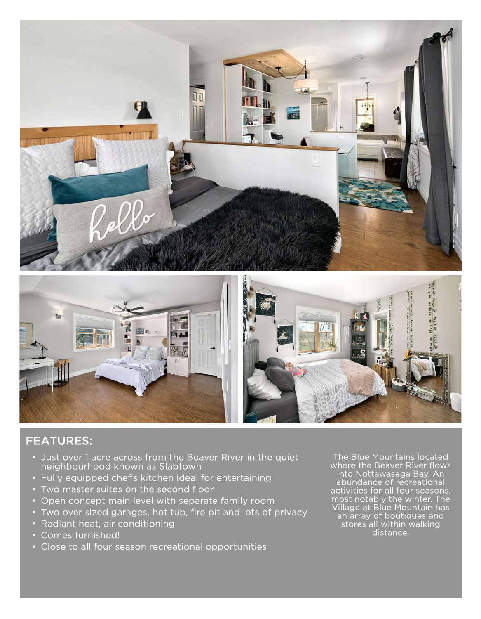



#### FEATURES:

- Just over 1acre across from the Beaver River in the quiet neighbourhood known as Slabtown
- Fully equipped chef's kitchen ideal for entertaining
- Two master suites on the second floor
- Open concept main level with separate family room
- Two over sized garages, hot tub, fire pit and lots of privacy
- Radiant heat, air conditioning
- Comes furnished!
- Close to all four season recreational opportunities

The Blue Mountains located where the Beaver River flows into Nottawasaga Bay. An abundance of recreational activities for all four seasons, most notably the winter. The Village at Blue Mountain has an array of boutiques and stores all within walking distance.